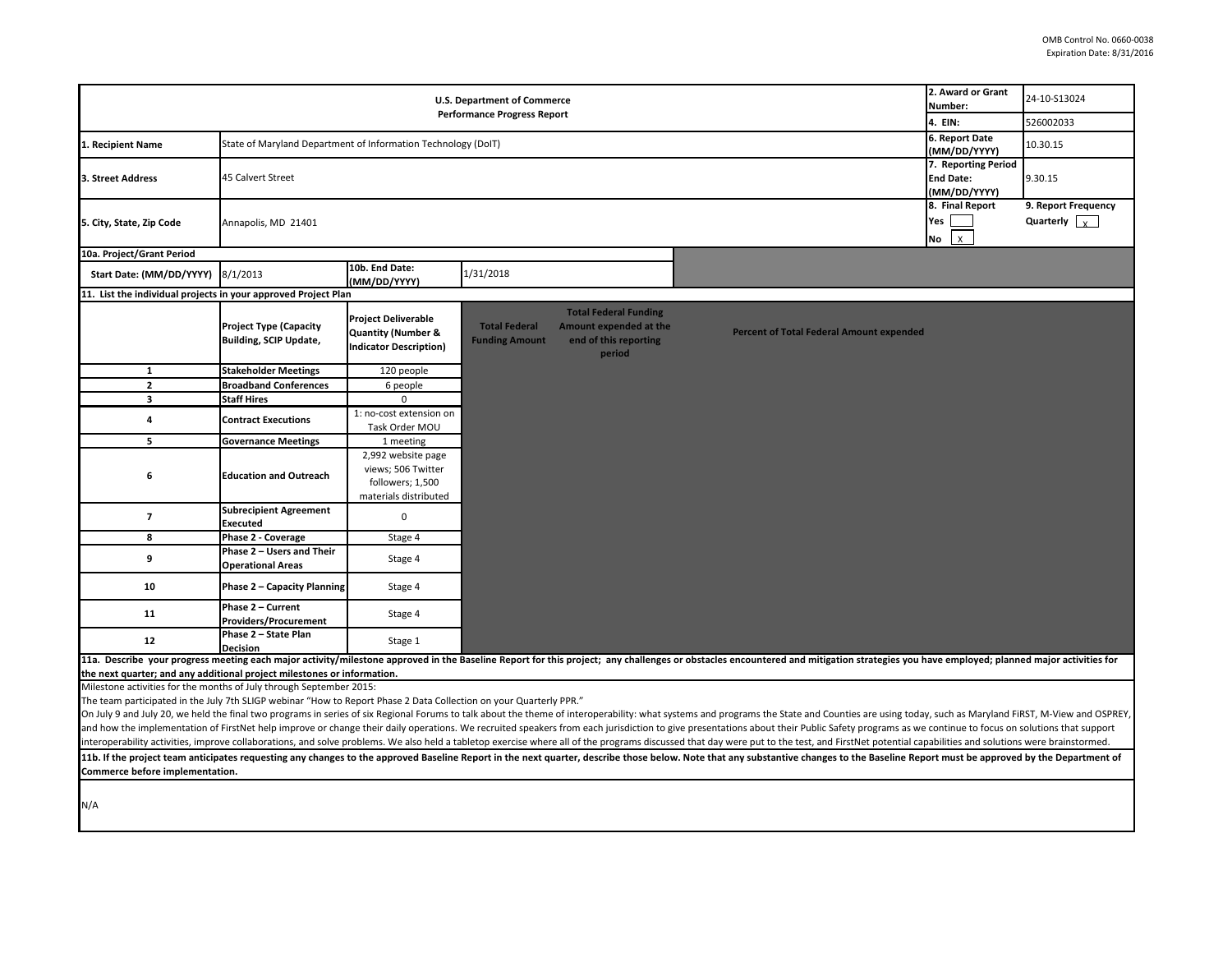| U.S. Department of Commerce<br><b>Performance Progress Report</b>                                                                              |                                                                                                                                                                                                                                                                                                                                                                                                                                                                  |                                                                                              |                                               |                                                                                           |                                                                                                                                                                                                                                | 2. Award or Grant<br>Number:<br>4. EIN:      | 24-10-S13024<br>526002033                   |  |
|------------------------------------------------------------------------------------------------------------------------------------------------|------------------------------------------------------------------------------------------------------------------------------------------------------------------------------------------------------------------------------------------------------------------------------------------------------------------------------------------------------------------------------------------------------------------------------------------------------------------|----------------------------------------------------------------------------------------------|-----------------------------------------------|-------------------------------------------------------------------------------------------|--------------------------------------------------------------------------------------------------------------------------------------------------------------------------------------------------------------------------------|----------------------------------------------|---------------------------------------------|--|
|                                                                                                                                                |                                                                                                                                                                                                                                                                                                                                                                                                                                                                  |                                                                                              |                                               |                                                                                           |                                                                                                                                                                                                                                | 6. Report Date                               |                                             |  |
| 1. Recipient Name                                                                                                                              | State of Maryland Department of Information Technology (DoIT)                                                                                                                                                                                                                                                                                                                                                                                                    |                                                                                              |                                               |                                                                                           |                                                                                                                                                                                                                                |                                              | 10.30.15                                    |  |
| 3. Street Address                                                                                                                              | 7. Reporting Period<br>45 Calvert Street<br><b>End Date:</b><br>(MM/DD/YYYY)                                                                                                                                                                                                                                                                                                                                                                                     |                                                                                              |                                               |                                                                                           |                                                                                                                                                                                                                                |                                              | 9.30.15                                     |  |
| 5. City, State, Zip Code                                                                                                                       | Annapolis, MD 21401                                                                                                                                                                                                                                                                                                                                                                                                                                              |                                                                                              |                                               |                                                                                           |                                                                                                                                                                                                                                | 8. Final Report<br>Yes<br>$\mathsf{x}$<br>No | 9. Report Frequency<br>Quarterly $\sqrt{x}$ |  |
| 10a. Project/Grant Period                                                                                                                      |                                                                                                                                                                                                                                                                                                                                                                                                                                                                  |                                                                                              |                                               |                                                                                           |                                                                                                                                                                                                                                |                                              |                                             |  |
| Start Date: (MM/DD/YYYY)                                                                                                                       | 8/1/2013                                                                                                                                                                                                                                                                                                                                                                                                                                                         | 10b. End Date:<br>(MM/DD/YYYY)                                                               | 1/31/2018                                     |                                                                                           |                                                                                                                                                                                                                                |                                              |                                             |  |
| 11. List the individual projects in your approved Project Plan                                                                                 |                                                                                                                                                                                                                                                                                                                                                                                                                                                                  |                                                                                              |                                               |                                                                                           |                                                                                                                                                                                                                                |                                              |                                             |  |
|                                                                                                                                                | <b>Project Type (Capacity</b><br><b>Building, SCIP Update,</b>                                                                                                                                                                                                                                                                                                                                                                                                   | <b>Project Deliverable</b><br><b>Quantity (Number &amp;</b><br><b>Indicator Description)</b> | <b>Total Federal</b><br><b>Funding Amount</b> | <b>Total Federal Funding</b><br>Amount expended at the<br>end of this reporting<br>period | <b>Percent of Total Federal Amount expended</b>                                                                                                                                                                                |                                              |                                             |  |
| $\mathbf{1}$                                                                                                                                   | <b>Stakeholder Meetings</b>                                                                                                                                                                                                                                                                                                                                                                                                                                      | 120 people                                                                                   |                                               |                                                                                           |                                                                                                                                                                                                                                |                                              |                                             |  |
| $\overline{2}$                                                                                                                                 | <b>Broadband Conferences</b>                                                                                                                                                                                                                                                                                                                                                                                                                                     | 6 people                                                                                     |                                               |                                                                                           |                                                                                                                                                                                                                                |                                              |                                             |  |
| $\mathbf{3}$                                                                                                                                   | Staff Hires                                                                                                                                                                                                                                                                                                                                                                                                                                                      | $\Omega$                                                                                     |                                               |                                                                                           |                                                                                                                                                                                                                                |                                              |                                             |  |
| 4                                                                                                                                              | <b>Contract Executions</b>                                                                                                                                                                                                                                                                                                                                                                                                                                       | 1: no-cost extension on<br>Task Order MOU                                                    |                                               |                                                                                           |                                                                                                                                                                                                                                |                                              |                                             |  |
| 5                                                                                                                                              | <b>Governance Meetings</b>                                                                                                                                                                                                                                                                                                                                                                                                                                       | 1 meeting                                                                                    |                                               |                                                                                           |                                                                                                                                                                                                                                |                                              |                                             |  |
| 6                                                                                                                                              | <b>Education and Outreach</b>                                                                                                                                                                                                                                                                                                                                                                                                                                    | 2,992 website page<br>views; 506 Twitter<br>followers; 1,500<br>materials distributed        |                                               |                                                                                           |                                                                                                                                                                                                                                |                                              |                                             |  |
| $\overline{\phantom{a}}$                                                                                                                       | <b>Subrecipient Agreement</b><br>Executed                                                                                                                                                                                                                                                                                                                                                                                                                        | $\mathbf 0$                                                                                  |                                               |                                                                                           |                                                                                                                                                                                                                                |                                              |                                             |  |
| 8                                                                                                                                              | Phase 2 - Coverage                                                                                                                                                                                                                                                                                                                                                                                                                                               | Stage 4                                                                                      |                                               |                                                                                           |                                                                                                                                                                                                                                |                                              |                                             |  |
| 9                                                                                                                                              | Phase 2 - Users and Their<br><b>Operational Areas</b>                                                                                                                                                                                                                                                                                                                                                                                                            | Stage 4                                                                                      |                                               |                                                                                           |                                                                                                                                                                                                                                |                                              |                                             |  |
| 10                                                                                                                                             | <b>Phase 2 - Capacity Planning</b>                                                                                                                                                                                                                                                                                                                                                                                                                               | Stage 4                                                                                      |                                               |                                                                                           |                                                                                                                                                                                                                                |                                              |                                             |  |
| 11                                                                                                                                             | Phase 2 - Current<br><b>Providers/Procurement</b>                                                                                                                                                                                                                                                                                                                                                                                                                | Stage 4                                                                                      |                                               |                                                                                           |                                                                                                                                                                                                                                |                                              |                                             |  |
| $12\,$                                                                                                                                         | Phase 2 - State Plan<br><b>Decision</b>                                                                                                                                                                                                                                                                                                                                                                                                                          | Stage 1                                                                                      |                                               |                                                                                           |                                                                                                                                                                                                                                |                                              |                                             |  |
|                                                                                                                                                |                                                                                                                                                                                                                                                                                                                                                                                                                                                                  |                                                                                              |                                               |                                                                                           | 11a. Describe your progress meeting each major activity/milestone approved in the Baseline Report for this project; any challenges or obstacles encountered and mitigation strategies you have employed; planned major activit |                                              |                                             |  |
| the next quarter; and any additional project milestones or information.<br>Milestone activities for the months of July through September 2015: |                                                                                                                                                                                                                                                                                                                                                                                                                                                                  |                                                                                              |                                               |                                                                                           |                                                                                                                                                                                                                                |                                              |                                             |  |
| The team participated in the July 7th SLIGP webinar "How to Report Phase 2 Data Collection on your Quarterly PPR."                             |                                                                                                                                                                                                                                                                                                                                                                                                                                                                  |                                                                                              |                                               |                                                                                           |                                                                                                                                                                                                                                |                                              |                                             |  |
|                                                                                                                                                |                                                                                                                                                                                                                                                                                                                                                                                                                                                                  |                                                                                              |                                               |                                                                                           | On July 9 and July 20, we held the final two programs in series of six Regional Forums to talk about the theme of interoperability: what systems and programs the State and Counties are using today, such as Maryland FIRST,  |                                              |                                             |  |
|                                                                                                                                                |                                                                                                                                                                                                                                                                                                                                                                                                                                                                  |                                                                                              |                                               |                                                                                           |                                                                                                                                                                                                                                |                                              |                                             |  |
|                                                                                                                                                | and how the implementation of FirstNet help improve or change their daily operations. We recruited speakers from each jurisdiction to give presentations about their Public Safety programs as we continue to focus on solutio<br>interoperability activities, improve collaborations, and solve problems. We also held a tabletop exercise where all of the programs discussed that day were put to the test, and FirstNet potential capabilities and solutions |                                                                                              |                                               |                                                                                           |                                                                                                                                                                                                                                |                                              |                                             |  |
|                                                                                                                                                |                                                                                                                                                                                                                                                                                                                                                                                                                                                                  |                                                                                              |                                               |                                                                                           | 11b. If the project team anticipates requesting any changes to the approved Baseline Report in the next quarter, describe those below. Note that any substantive changes to the Baseline Report must be approved by the Depart |                                              |                                             |  |
| Commerce before implementation.                                                                                                                |                                                                                                                                                                                                                                                                                                                                                                                                                                                                  |                                                                                              |                                               |                                                                                           |                                                                                                                                                                                                                                |                                              |                                             |  |
| N/A                                                                                                                                            |                                                                                                                                                                                                                                                                                                                                                                                                                                                                  |                                                                                              |                                               |                                                                                           |                                                                                                                                                                                                                                |                                              |                                             |  |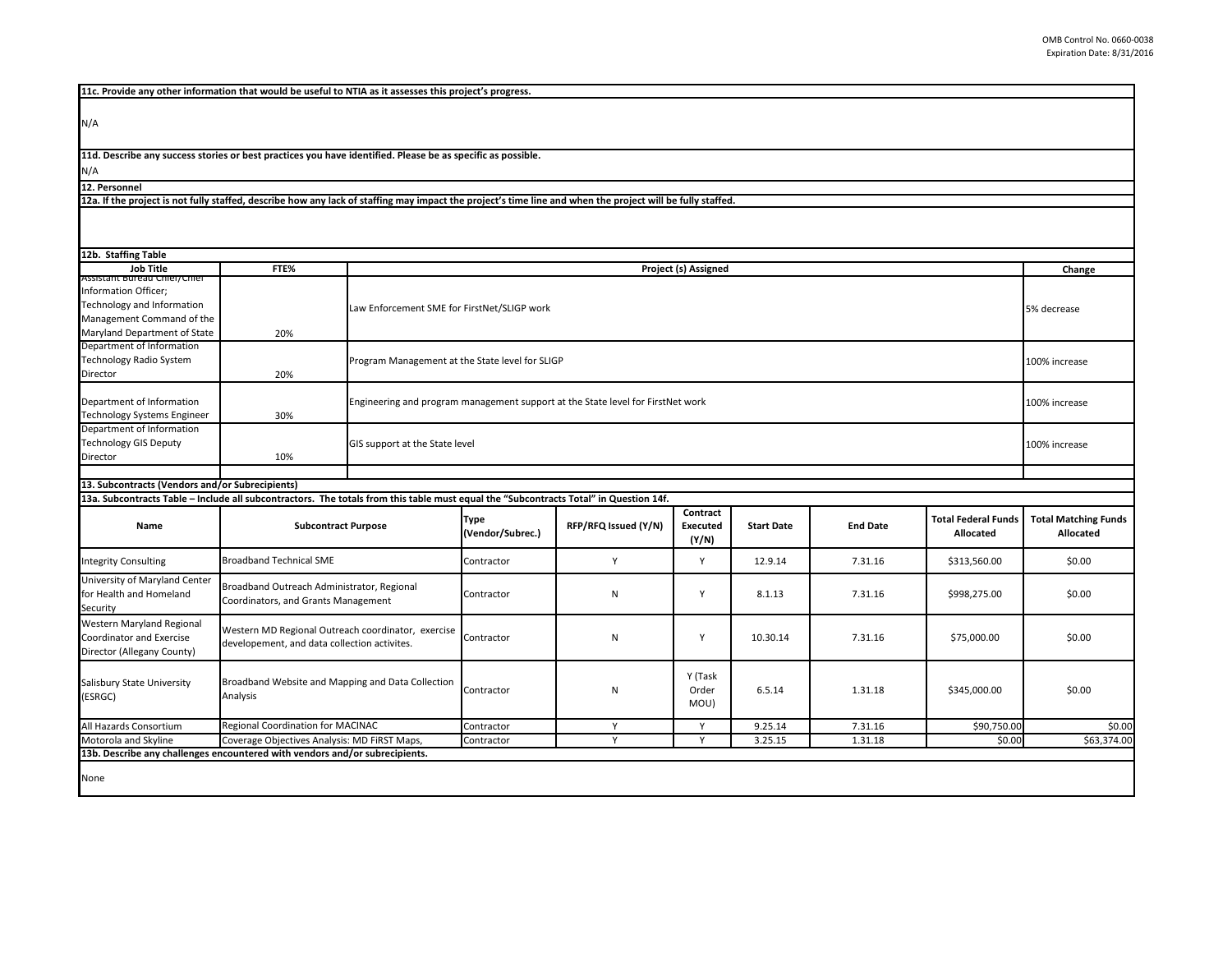|  |  |  |  | 11c. Provide any other information that would be useful to NTIA as it assesses this project's progress. |
|--|--|--|--|---------------------------------------------------------------------------------------------------------|
|--|--|--|--|---------------------------------------------------------------------------------------------------------|

N/A

**11d. Describe any success stories or best practices you have identified. Please be as specific as possible.**

N/A

**12. Personnel** 

**12a. If the project is not fully staffed, describe how any lack of staffing may impact the project's time line and when the project will be fully staffed.**

| 12b. Staffing Table                                                                                                                   |                                                                                                    |                                                                  |                                                                                                  |                      |                          |                   |                 |                                         |                                          |  |
|---------------------------------------------------------------------------------------------------------------------------------------|----------------------------------------------------------------------------------------------------|------------------------------------------------------------------|--------------------------------------------------------------------------------------------------|----------------------|--------------------------|-------------------|-----------------|-----------------------------------------|------------------------------------------|--|
| <b>Job Title</b>                                                                                                                      | FTE%                                                                                               | Project (s) Assigned                                             |                                                                                                  |                      |                          |                   |                 | Change                                  |                                          |  |
| Assistant bureau Chier/Chier<br>Information Officer;                                                                                  |                                                                                                    |                                                                  |                                                                                                  |                      |                          |                   |                 |                                         |                                          |  |
| Technology and Information                                                                                                            |                                                                                                    |                                                                  | Law Enforcement SME for FirstNet/SLIGP work<br>5% decrease                                       |                      |                          |                   |                 |                                         |                                          |  |
| Management Command of the                                                                                                             |                                                                                                    |                                                                  |                                                                                                  |                      |                          |                   |                 |                                         |                                          |  |
| Maryland Department of State                                                                                                          | 20%                                                                                                |                                                                  |                                                                                                  |                      |                          |                   |                 |                                         |                                          |  |
| Department of Information                                                                                                             |                                                                                                    |                                                                  |                                                                                                  |                      |                          |                   |                 |                                         |                                          |  |
| Technology Radio System                                                                                                               |                                                                                                    | Program Management at the State level for SLIGP<br>100% increase |                                                                                                  |                      |                          |                   |                 |                                         |                                          |  |
| Director                                                                                                                              | 20%                                                                                                |                                                                  |                                                                                                  |                      |                          |                   |                 |                                         |                                          |  |
| Department of Information                                                                                                             |                                                                                                    |                                                                  | Engineering and program management support at the State level for FirstNet work<br>100% increase |                      |                          |                   |                 |                                         |                                          |  |
| <b>Technology Systems Engineer</b>                                                                                                    | 30%                                                                                                |                                                                  |                                                                                                  |                      |                          |                   |                 |                                         |                                          |  |
| Department of Information                                                                                                             |                                                                                                    |                                                                  |                                                                                                  |                      |                          |                   |                 |                                         |                                          |  |
| <b>Technology GIS Deputy</b>                                                                                                          |                                                                                                    | GIS support at the State level<br>100% increase                  |                                                                                                  |                      |                          |                   |                 |                                         |                                          |  |
| Director                                                                                                                              | 10%                                                                                                |                                                                  |                                                                                                  |                      |                          |                   |                 |                                         |                                          |  |
| 13. Subcontracts (Vendors and/or Subrecipients)                                                                                       |                                                                                                    |                                                                  |                                                                                                  |                      |                          |                   |                 |                                         |                                          |  |
| 13a. Subcontracts Table - Include all subcontractors. The totals from this table must equal the "Subcontracts Total" in Question 14f. |                                                                                                    |                                                                  |                                                                                                  |                      |                          |                   |                 |                                         |                                          |  |
|                                                                                                                                       |                                                                                                    |                                                                  |                                                                                                  |                      | Contract                 |                   |                 |                                         |                                          |  |
| <b>Subcontract Purpose</b><br>Name                                                                                                    |                                                                                                    |                                                                  | <b>Type</b><br>(Vendor/Subrec.)                                                                  | RFP/RFQ Issued (Y/N) | <b>Executed</b><br>(Y/N) | <b>Start Date</b> | <b>End Date</b> | <b>Total Federal Funds</b><br>Allocated | <b>Total Matching Funds</b><br>Allocated |  |
| <b>Integrity Consulting</b>                                                                                                           | <b>Broadband Technical SME</b>                                                                     |                                                                  | Contractor                                                                                       | Y                    | Y                        | 12.9.14           | 7.31.16         | \$313,560.00                            | \$0.00                                   |  |
| University of Maryland Center<br>for Health and Homeland<br>Security                                                                  | Broadband Outreach Administrator, Regional<br>Coordinators, and Grants Management                  |                                                                  | Contractor                                                                                       | N                    | Y                        | 8.1.13            | 7.31.16         | \$998,275.00                            | \$0.00                                   |  |
| Western Maryland Regional<br>Coordinator and Exercise<br>Director (Allegany County)                                                   | Western MD Regional Outreach coordinator, exercise<br>developement, and data collection activites. |                                                                  | Contractor                                                                                       | N                    | Y                        | 10.30.14          | 7.31.16         | \$75,000.00                             | \$0.00                                   |  |
| Salisbury State University<br>(ESRGC)                                                                                                 | Broadband Website and Mapping and Data Collection<br>Analysis                                      |                                                                  | Contractor                                                                                       | N                    | Y (Task<br>Order<br>MOU) | 6.5.14            | 1.31.18         | \$345,000.00                            | \$0.00                                   |  |
| All Hazards Consortium                                                                                                                | Regional Coordination for MACINAC                                                                  |                                                                  | Contractor                                                                                       | Y                    | Y                        | 9.25.14           | 7.31.16         | \$90,750.00                             | \$0.00                                   |  |
| Motorola and Skyline                                                                                                                  | Coverage Objectives Analysis: MD FIRST Maps,                                                       |                                                                  | Contractor                                                                                       | Y                    | Y                        | 3.25.15           | 1.31.18         | \$0.00                                  | \$63,374.00                              |  |
| 13b. Describe any challenges encountered with vendors and/or subrecipients.                                                           |                                                                                                    |                                                                  |                                                                                                  |                      |                          |                   |                 |                                         |                                          |  |
| None                                                                                                                                  |                                                                                                    |                                                                  |                                                                                                  |                      |                          |                   |                 |                                         |                                          |  |